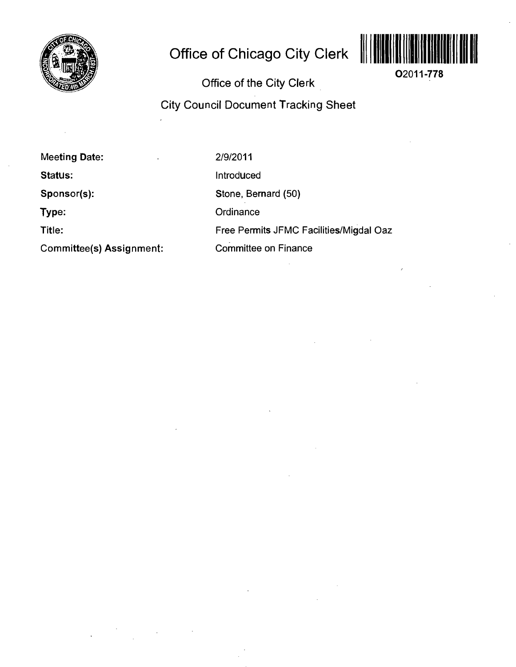

## **Office of Chicago City Clerk**



**Office of the City Clerk** 

**02011-778** 

## **City Council Document Tracking Sheet**

**Meeting Date:** 

**Status:** 

**Sponsor(s):** 

**Type:** 

**Title:** 

**Committee(s) Assignment:** 

2/9/2011

Introduced

Stone, Bernard (50)

**Ordinance** 

Free Permits JFMC Facilities/Migdal Oaz

Committee on Finance